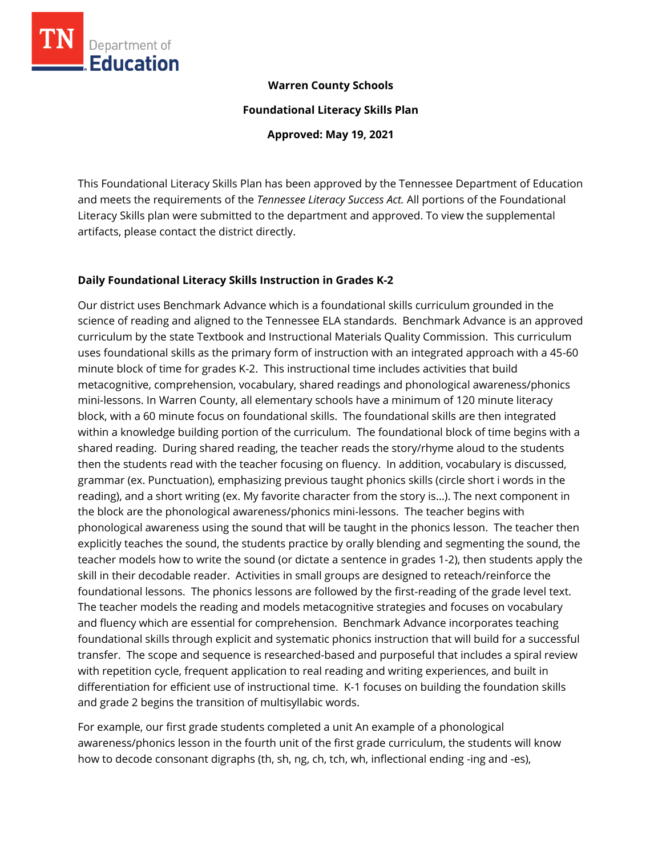

### **Warren County Schools**

**Foundational Literacy Skills Plan**

**Approved: May 19, 2021**

This Foundational Literacy Skills Plan has been approved by the Tennessee Department of Education and meets the requirements of the *Tennessee Literacy Success Act.* All portions of the Foundational Literacy Skills plan were submitted to the department and approved. To view the supplemental artifacts, please contact the district directly.

## **Daily Foundational Literacy Skills Instruction in Grades K-2**

Our district uses Benchmark Advance which is a foundational skills curriculum grounded in the science of reading and aligned to the Tennessee ELA standards. Benchmark Advance is an approved curriculum by the state Textbook and Instructional Materials Quality Commission. This curriculum uses foundational skills as the primary form of instruction with an integrated approach with a 45-60 minute block of time for grades K-2. This instructional time includes activities that build metacognitive, comprehension, vocabulary, shared readings and phonological awareness/phonics mini-lessons. In Warren County, all elementary schools have a minimum of 120 minute literacy block, with a 60 minute focus on foundational skills. The foundational skills are then integrated within a knowledge building portion of the curriculum. The foundational block of time begins with a shared reading. During shared reading, the teacher reads the story/rhyme aloud to the students then the students read with the teacher focusing on fluency. In addition, vocabulary is discussed, grammar (ex. Punctuation), emphasizing previous taught phonics skills (circle short i words in the reading), and a short writing (ex. My favorite character from the story is…). The next component in the block are the phonological awareness/phonics mini-lessons. The teacher begins with phonological awareness using the sound that will be taught in the phonics lesson. The teacher then explicitly teaches the sound, the students practice by orally blending and segmenting the sound, the teacher models how to write the sound (or dictate a sentence in grades 1-2), then students apply the skill in their decodable reader. Activities in small groups are designed to reteach/reinforce the foundational lessons. The phonics lessons are followed by the first-reading of the grade level text. The teacher models the reading and models metacognitive strategies and focuses on vocabulary and fluency which are essential for comprehension. Benchmark Advance incorporates teaching foundational skills through explicit and systematic phonics instruction that will build for a successful transfer. The scope and sequence is researched-based and purposeful that includes a spiral review with repetition cycle, frequent application to real reading and writing experiences, and built in differentiation for efficient use of instructional time. K-1 focuses on building the foundation skills and grade 2 begins the transition of multisyllabic words.

For example, our first grade students completed a unit An example of a phonological awareness/phonics lesson in the fourth unit of the first grade curriculum, the students will know how to decode consonant digraphs (th, sh, ng, ch, tch, wh, inflectional ending -ing and -es),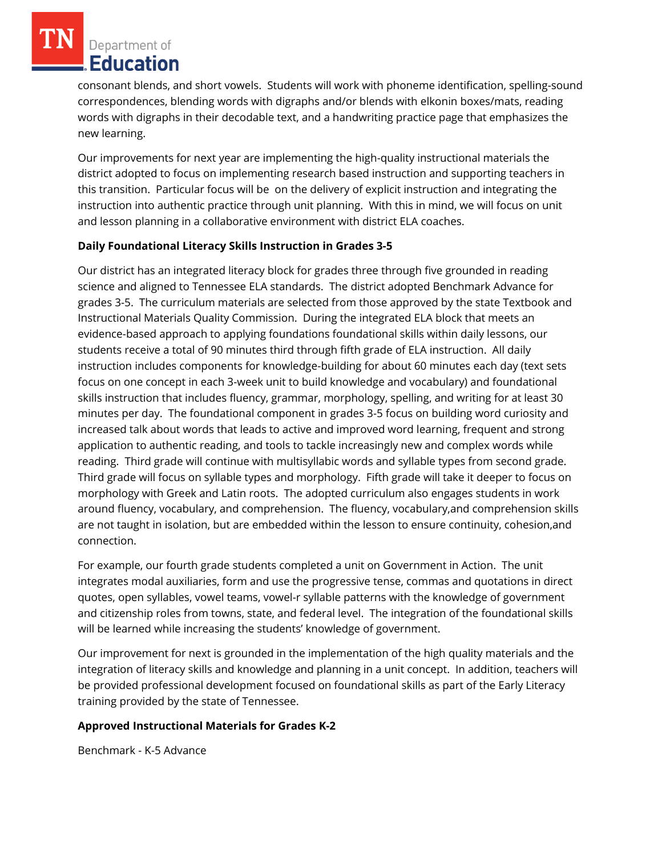Department of **Education** 

consonant blends, and short vowels. Students will work with phoneme identification, spelling-sound correspondences, blending words with digraphs and/or blends with elkonin boxes/mats, reading words with digraphs in their decodable text, and a handwriting practice page that emphasizes the new learning.

Our improvements for next year are implementing the high-quality instructional materials the district adopted to focus on implementing research based instruction and supporting teachers in this transition. Particular focus will be on the delivery of explicit instruction and integrating the instruction into authentic practice through unit planning. With this in mind, we will focus on unit and lesson planning in a collaborative environment with district ELA coaches.

# **Daily Foundational Literacy Skills Instruction in Grades 3-5**

Our district has an integrated literacy block for grades three through five grounded in reading science and aligned to Tennessee ELA standards. The district adopted Benchmark Advance for grades 3-5. The curriculum materials are selected from those approved by the state Textbook and Instructional Materials Quality Commission. During the integrated ELA block that meets an evidence-based approach to applying foundations foundational skills within daily lessons, our students receive a total of 90 minutes third through fifth grade of ELA instruction. All daily instruction includes components for knowledge-building for about 60 minutes each day (text sets focus on one concept in each 3-week unit to build knowledge and vocabulary) and foundational skills instruction that includes fluency, grammar, morphology, spelling, and writing for at least 30 minutes per day. The foundational component in grades 3-5 focus on building word curiosity and increased talk about words that leads to active and improved word learning, frequent and strong application to authentic reading, and tools to tackle increasingly new and complex words while reading. Third grade will continue with multisyllabic words and syllable types from second grade. Third grade will focus on syllable types and morphology. Fifth grade will take it deeper to focus on morphology with Greek and Latin roots. The adopted curriculum also engages students in work around fluency, vocabulary, and comprehension. The fluency, vocabulary,and comprehension skills are not taught in isolation, but are embedded within the lesson to ensure continuity, cohesion,and connection.

For example, our fourth grade students completed a unit on Government in Action. The unit integrates modal auxiliaries, form and use the progressive tense, commas and quotations in direct quotes, open syllables, vowel teams, vowel-r syllable patterns with the knowledge of government and citizenship roles from towns, state, and federal level. The integration of the foundational skills will be learned while increasing the students' knowledge of government.

Our improvement for next is grounded in the implementation of the high quality materials and the integration of literacy skills and knowledge and planning in a unit concept. In addition, teachers will be provided professional development focused on foundational skills as part of the Early Literacy training provided by the state of Tennessee.

# **Approved Instructional Materials for Grades K-2**

Benchmark - K-5 Advance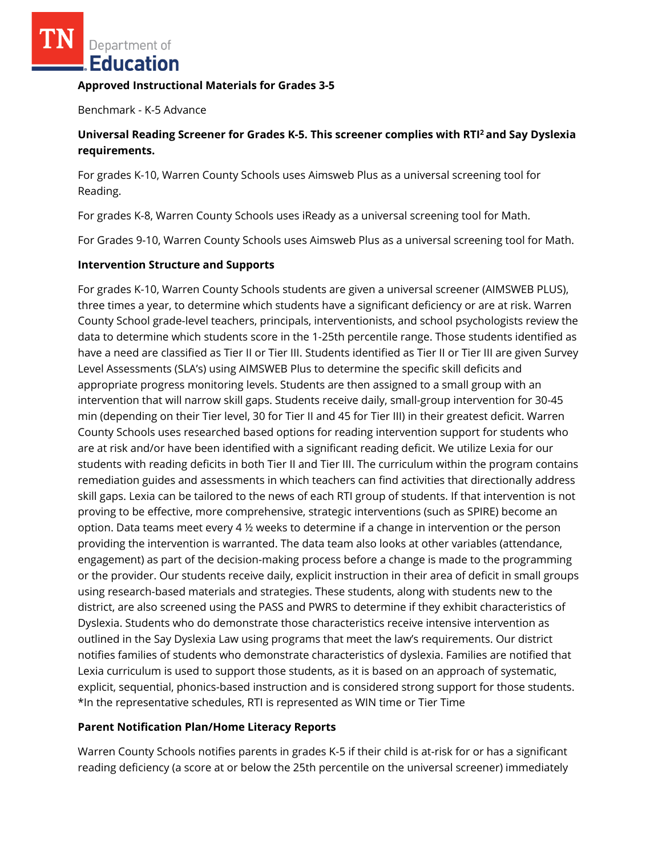Department of Education

#### **Approved Instructional Materials for Grades 3-5**

Benchmark - K-5 Advance

## **Universal Reading Screener for Grades K-5. This screener complies with RTI<sup>2</sup>and Say Dyslexia requirements.**

For grades K-10, Warren County Schools uses Aimsweb Plus as a universal screening tool for Reading.

For grades K-8, Warren County Schools uses iReady as a universal screening tool for Math.

For Grades 9-10, Warren County Schools uses Aimsweb Plus as a universal screening tool for Math.

## **Intervention Structure and Supports**

For grades K-10, Warren County Schools students are given a universal screener (AIMSWEB PLUS), three times a year, to determine which students have a significant deficiency or are at risk. Warren County School grade-level teachers, principals, interventionists, and school psychologists review the data to determine which students score in the 1-25th percentile range. Those students identified as have a need are classified as Tier II or Tier III. Students identified as Tier II or Tier III are given Survey Level Assessments (SLA's) using AIMSWEB Plus to determine the specific skill deficits and appropriate progress monitoring levels. Students are then assigned to a small group with an intervention that will narrow skill gaps. Students receive daily, small-group intervention for 30-45 min (depending on their Tier level, 30 for Tier II and 45 for Tier III) in their greatest deficit. Warren County Schools uses researched based options for reading intervention support for students who are at risk and/or have been identified with a significant reading deficit. We utilize Lexia for our students with reading deficits in both Tier II and Tier III. The curriculum within the program contains remediation guides and assessments in which teachers can find activities that directionally address skill gaps. Lexia can be tailored to the news of each RTI group of students. If that intervention is not proving to be effective, more comprehensive, strategic interventions (such as SPIRE) become an option. Data teams meet every 4 ½ weeks to determine if a change in intervention or the person providing the intervention is warranted. The data team also looks at other variables (attendance, engagement) as part of the decision-making process before a change is made to the programming or the provider. Our students receive daily, explicit instruction in their area of deficit in small groups using research-based materials and strategies. These students, along with students new to the district, are also screened using the PASS and PWRS to determine if they exhibit characteristics of Dyslexia. Students who do demonstrate those characteristics receive intensive intervention as outlined in the Say Dyslexia Law using programs that meet the law's requirements. Our district notifies families of students who demonstrate characteristics of dyslexia. Families are notified that Lexia curriculum is used to support those students, as it is based on an approach of systematic, explicit, sequential, phonics-based instruction and is considered strong support for those students. \*In the representative schedules, RTI is represented as WIN time or Tier Time

## **Parent Notification Plan/Home Literacy Reports**

Warren County Schools notifies parents in grades K-5 if their child is at-risk for or has a significant reading deficiency (a score at or below the 25th percentile on the universal screener) immediately